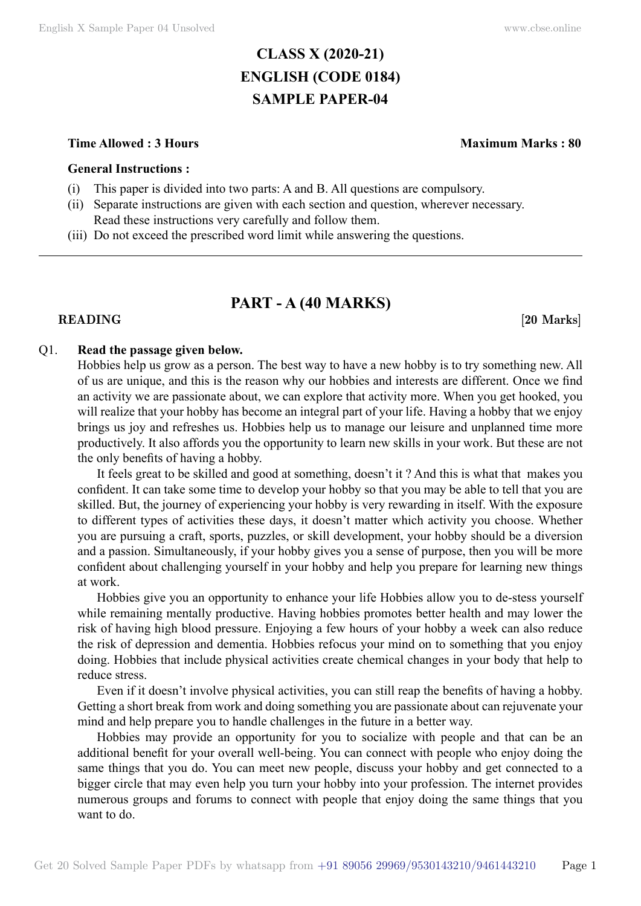# **CLASS X (2020-21) ENGLISH (CODE 0184) SAMPLE PAPER-04**

### **Time Allowed : 3 Hours Maximum Marks : 80**

### **General Instructions :**

- (i) This paper is divided into two parts: A and B. All questions are compulsory.
- (ii) Separate instructions are given with each section and question, wherever necessary. Read these instructions very carefully and follow them.
- (iii) Do not exceed the prescribed word limit while answering the questions.

# **PART - A (40 Marks)**

### **READING** [20 Marks]

### Q1. **Read the passage given below.**

Hobbies help us grow as a person. The best way to have a new hobby is to try something new. All of us are unique, and this is the reason why our hobbies and interests are different. Once we find an activity we are passionate about, we can explore that activity more. When you get hooked, you will realize that your hobby has become an integral part of your life. Having a hobby that we enjoy brings us joy and refreshes us. Hobbies help us to manage our leisure and unplanned time more productively. It also affords you the opportunity to learn new skills in your work. But these are not the only benefits of having a hobby.

It feels great to be skilled and good at something, doesn't it ? And this is what that makes you confident. It can take some time to develop your hobby so that you may be able to tell that you are skilled. But, the journey of experiencing your hobby is very rewarding in itself. With the exposure to different types of activities these days, it doesn't matter which activity you choose. Whether you are pursuing a craft, sports, puzzles, or skill development, your hobby should be a diversion and a passion. Simultaneously, if your hobby gives you a sense of purpose, then you will be more confident about challenging yourself in your hobby and help you prepare for learning new things at work.

Hobbies give you an opportunity to enhance your life Hobbies allow you to de-stess yourself while remaining mentally productive. Having hobbies promotes better health and may lower the risk of having high blood pressure. Enjoying a few hours of your hobby a week can also reduce the risk of depression and dementia. Hobbies refocus your mind on to something that you enjoy doing. Hobbies that include physical activities create chemical changes in your body that help to reduce stress.

Even if it doesn't involve physical activities, you can still reap the benefits of having a hobby. Getting a short break from work and doing something you are passionate about can rejuvenate your mind and help prepare you to handle challenges in the future in a better way.

Hobbies may provide an opportunity for you to socialize with people and that can be an additional benefit for your overall well-being. You can connect with people who enjoy doing the same things that you do. You can meet new people, discuss your hobby and get connected to a bigger circle that may even help you turn your hobby into your profession. The internet provides numerous groups and forums to connect with people that enjoy doing the same things that you want to do.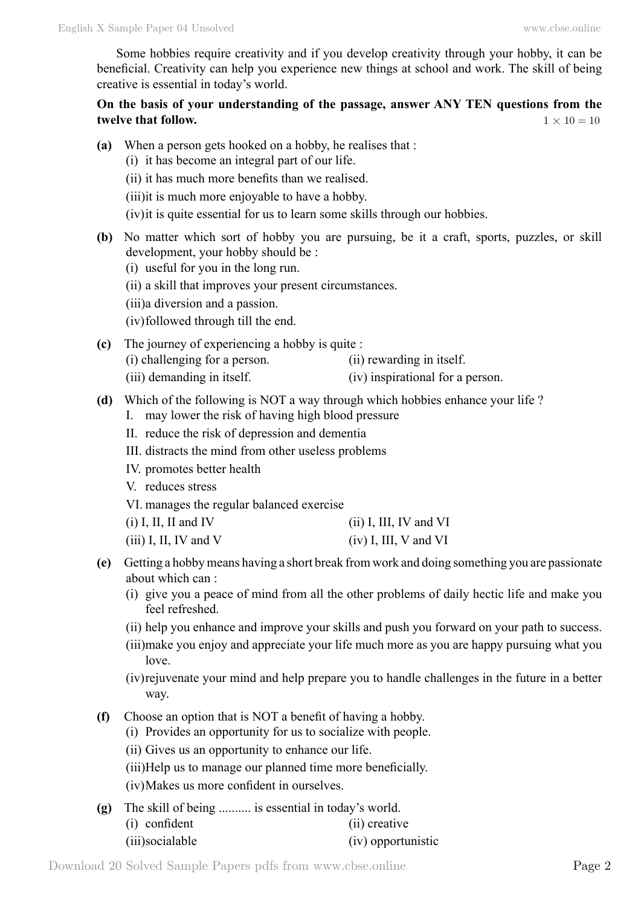Some hobbies require creativity and if you develop creativity through your hobby, it can be beneficial. Creativity can help you experience new things at school and work. The skill of being creative is essential in today's world.

# **On the basis of your understanding of the passage, answer ANY TEN questions from the twelve that follow.**  $1 \times 10 = 10$

- **(a)** When a person gets hooked on a hobby, he realises that :
	- (i) it has become an integral part of our life.
	- (ii) it has much more benefits than we realised.
	- (iii)it is much more enjoyable to have a hobby.
	- (iv)it is quite essential for us to learn some skills through our hobbies.
- **(b)** No matter which sort of hobby you are pursuing, be it a craft, sports, puzzles, or skill development, your hobby should be :
	- (i) useful for you in the long run.
	- (ii) a skill that improves your present circumstances.
	- (iii)a diversion and a passion.
	- (iv)followed through till the end.
- **(c)** The journey of experiencing a hobby is quite :
	- (i) challenging for a person. (ii) rewarding in itself.
	- (iii) demanding in itself. (iv) inspirational for a person.
- **(d)** Which of the following is NOT a way through which hobbies enhance your life ?
	- I. may lower the risk of having high blood pressure
	- II. reduce the risk of depression and dementia
	- III. distracts the mind from other useless problems
	- IV. promotes better health
	- V. reduces stress
	- VI. manages the regular balanced exercise
	- (i) I, II, II and IV (ii) I, III, IV and VI (iii) I, II, IV and V (iv) I, III, V and VI
- **(e)** Getting a hobby means having a short break from work and doing something you are passionate about which can :
	- (i) give you a peace of mind from all the other problems of daily hectic life and make you feel refreshed.
	- (ii) help you enhance and improve your skills and push you forward on your path to success.
	- (iii)make you enjoy and appreciate your life much more as you are happy pursuing what you love.
	- (iv)rejuvenate your mind and help prepare you to handle challenges in the future in a better way.
- **(f)** Choose an option that is NOT a benefit of having a hobby.
	- (i) Provides an opportunity for us to socialize with people.
	- (ii) Gives us an opportunity to enhance our life.
	- (iii)Help us to manage our planned time more beneficially.
	- (iv)Makes us more confident in ourselves.
- **(g)** The skill of being .......... is essential in today's world.
	- (i) confident (ii) creative
	- (iii)socialable (iv) opportunistic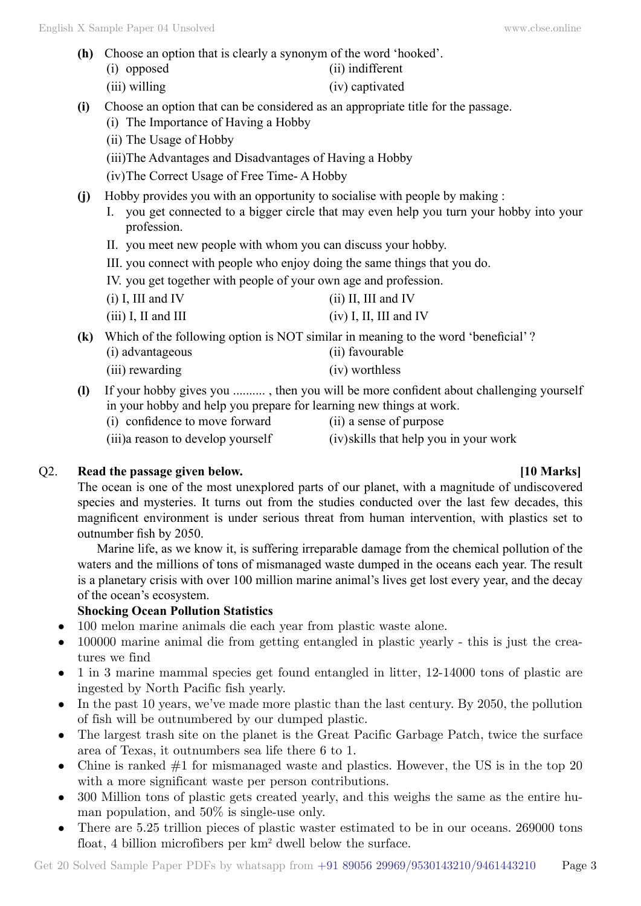**(h)** Choose an option that is clearly a synonym of the word 'hooked'.

(i) opposed (ii) indifferent

- (iii) willing (iv) captivated
- **(i)** Choose an option that can be considered as an appropriate title for the passage.
	- (i) The Importance of Having a Hobby
		- (ii) The Usage of Hobby
		- (iii)The Advantages and Disadvantages of Having a Hobby
		- (iv)The Correct Usage of Free Time- A Hobby
- **(j)** Hobby provides you with an opportunity to socialise with people by making :
	- I. you get connected to a bigger circle that may even help you turn your hobby into your profession.
	- II. you meet new people with whom you can discuss your hobby.
	- III. you connect with people who enjoy doing the same things that you do.
	- IV. you get together with people of your own age and profession.
	- (i) I, III and IV (ii) II, III and IV
	- (iii) I, II and III (iv) I, II, III and IV

**(k)** Which of the following option is NOT similar in meaning to the word 'beneficial' ?

- (i) advantageous (ii) favourable
- (iii) rewarding (iv) worthless
- **(l)** If your hobby gives you .......... , then you will be more confident about challenging yourself in your hobby and help you prepare for learning new things at work.
	- (i) confidence to move forward (ii) a sense of purpose
- 

(iii)a reason to develop yourself (iv)skills that help you in your work

# Q2. **Read the passage given below. [10 Marks]**

The ocean is one of the most unexplored parts of our planet, with a magnitude of undiscovered species and mysteries. It turns out from the studies conducted over the last few decades, this magnificent environment is under serious threat from human intervention, with plastics set to outnumber fish by 2050.

Marine life, as we know it, is suffering irreparable damage from the chemical pollution of the waters and the millions of tons of mismanaged waste dumped in the oceans each year. The result is a planetary crisis with over 100 million marine animal's lives get lost every year, and the decay of the ocean's ecosystem.

# **Shocking Ocean Pollution Statistics**

- 100 melon marine animals die each year from plastic waste alone.
- 100000 marine animal die from getting entangled in plastic yearly this is just the creatures we find
- 1 in 3 marine mammal species get found entangled in litter, 12-14000 tons of plastic are ingested by North Pacific fish yearly.
- In the past 10 years, we've made more plastic than the last century. By 2050, the pollution of fish will be outnumbered by our dumped plastic.
- The largest trash site on the planet is the Great Pacific Garbage Patch, twice the surface area of Texas, it outnumbers sea life there 6 to 1.
- Chine is ranked  $#1$  for mismanaged waste and plastics. However, the US is in the top 20 with a more significant waste per person contributions.
- 300 Million tons of plastic gets created yearly, and this weighs the same as the entire human population, and 50% is single-use only.
- There are 5.25 trillion pieces of plastic waster estimated to be in our oceans. 269000 tons float, 4 billion microfibers per  $km^2$  dwell below the surface.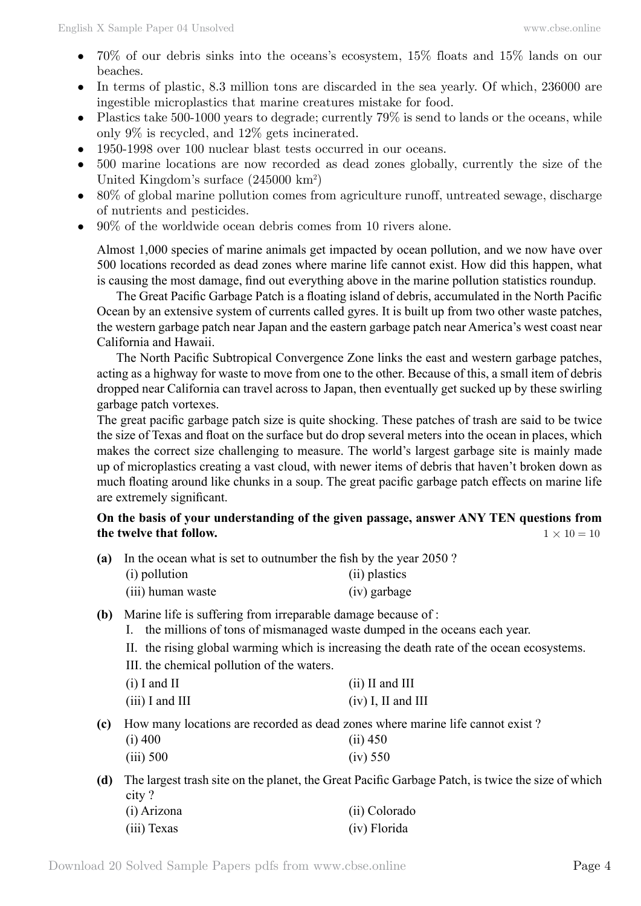- 70% of our debris sinks into the oceans's ecosystem,  $15\%$  floats and  $15\%$  lands on our beaches.
- In terms of plastic, 8.3 million tons are discarded in the sea yearly. Of which, 236000 are ingestible microplastics that marine creatures mistake for food.
- Plastics take 500-1000 years to degrade; currently  $79\%$  is send to lands or the oceans, while only 9% is recycled, and 12% gets incinerated.
- 1950-1998 over 100 nuclear blast tests occurred in our oceans.
- 500 marine locations are now recorded as dead zones globally, currently the size of the United Kingdom's surface (245000 km<sup>2</sup>)
- $80\%$  of global marine pollution comes from agriculture runoff, untreated sewage, discharge of nutrients and pesticides.
- $90\%$  of the worldwide ocean debris comes from 10 rivers alone.

Almost 1,000 species of marine animals get impacted by ocean pollution, and we now have over 500 locations recorded as dead zones where marine life cannot exist. How did this happen, what is causing the most damage, find out everything above in the marine pollution statistics roundup.

The Great Pacific Garbage Patch is a floating island of debris, accumulated in the North Pacific Ocean by an extensive system of currents called gyres. It is built up from two other waste patches, the western garbage patch near Japan and the eastern garbage patch near America's west coast near California and Hawaii.

The North Pacific Subtropical Convergence Zone links the east and western garbage patches, acting as a highway for waste to move from one to the other. Because of this, a small item of debris dropped near California can travel across to Japan, then eventually get sucked up by these swirling garbage patch vortexes.

The great pacific garbage patch size is quite shocking. These patches of trash are said to be twice the size of Texas and float on the surface but do drop several meters into the ocean in places, which makes the correct size challenging to measure. The world's largest garbage site is mainly made up of microplastics creating a vast cloud, with newer items of debris that haven't broken down as much floating around like chunks in a soup. The great pacific garbage patch effects on marine life are extremely significant.

# **On the basis of your understanding of the given passage, answer ANY TEN questions from the twelve that follow.**  $1 \times 10 = 10$

| (a) |               | In the ocean what is set to outnumber the fish by the year 2050? |
|-----|---------------|------------------------------------------------------------------|
|     | (i) pollution | (ii) plastics                                                    |

| $\sqrt{1}$        | .            |
|-------------------|--------------|
| (iii) human waste | (iv) garbage |

- **(b)** Marine life is suffering from irreparable damage because of :
	- I. the millions of tons of mismanaged waste dumped in the oceans each year.
	- II. the rising global warming which is increasing the death rate of the ocean ecosystems.
	- III. the chemical pollution of the waters.

| $(i)$ I and II    | $(ii)$ II and III    |
|-------------------|----------------------|
| $(iii)$ I and III | $(iv)$ I, II and III |

**(c)** How many locations are recorded as dead zones where marine life cannot exist ?

| $(i)$ 400   | $(ii)$ 450 |
|-------------|------------|
| $(iii)$ 500 | (iv) 550   |

**(d)** The largest trash site on the planet, the Great Pacific Garbage Patch, is twice the size of which city ?

| (i) Arizona | (ii) Colorado |
|-------------|---------------|
| (iii) Texas | (iv) Florida  |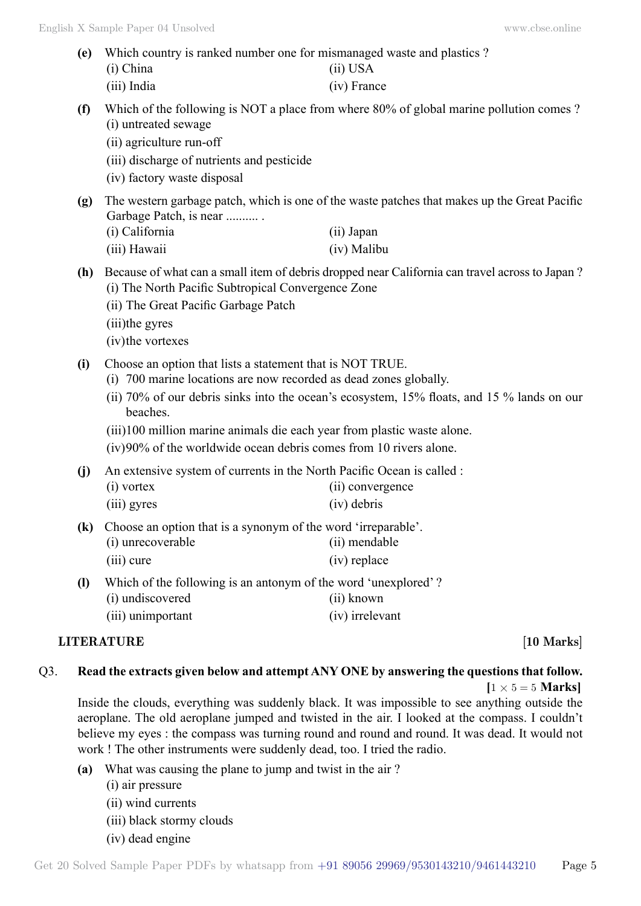- **(e)** Which country is ranked number one for mismanaged waste and plastics ? (i) China (ii) USA (iii) India (iv) France
- **(f)** Which of the following is NOT a place from where 80% of global marine pollution comes ? (i) untreated sewage
	- (ii) agriculture run-off
	- (iii) discharge of nutrients and pesticide
	- (iv) factory waste disposal
- **(g)** The western garbage patch, which is one of the waste patches that makes up the Great Pacific Garbage Patch, is near .......... . (i) California (ii) Japan
	- (iii) Hawaii (iv) Malibu
- **(h)** Because of what can a small item of debris dropped near California can travel across to Japan ? (i) The North Pacific Subtropical Convergence Zone
	- (ii) The Great Pacific Garbage Patch
	- (iii)the gyres
	- (iv)the vortexes
- **(i)** Choose an option that lists a statement that is NOT TRUE.
	- (i) 700 marine locations are now recorded as dead zones globally.
	- (ii) 70% of our debris sinks into the ocean's ecosystem, 15% floats, and 15 % lands on our beaches.
	- (iii)100 million marine animals die each year from plastic waste alone.
	- (iv)90% of the worldwide ocean debris comes from 10 rivers alone.
- **(j)** An extensive system of currents in the North Pacific Ocean is called :
	- (i) vortex (ii) convergence
	- (iii) gyres (iv) debris
- **(k)** Choose an option that is a synonym of the word 'irreparable'.
	- (i) unrecoverable (ii) mendable (iii) cure (iv) replace
	-
- **(l)** Which of the following is an antonym of the word 'unexplored' ? (i) undiscovered (ii) known
	- (iii) unimportant (iv) irrelevant

# **LITERATURE** [10 Marks]

# Q3. **Read the extracts given below and attempt ANY ONE by answering the questions that follow.**

 $[1 \times 5 = 5$  **Marks**]

Inside the clouds, everything was suddenly black. It was impossible to see anything outside the aeroplane. The old aeroplane jumped and twisted in the air. I looked at the compass. I couldn't believe my eyes : the compass was turning round and round and round. It was dead. It would not work ! The other instruments were suddenly dead, too. I tried the radio.

- **(a)** What was causing the plane to jump and twist in the air ?
	- (i) air pressure
		- (ii) wind currents
		- (iii) black stormy clouds
	- (iv) dead engine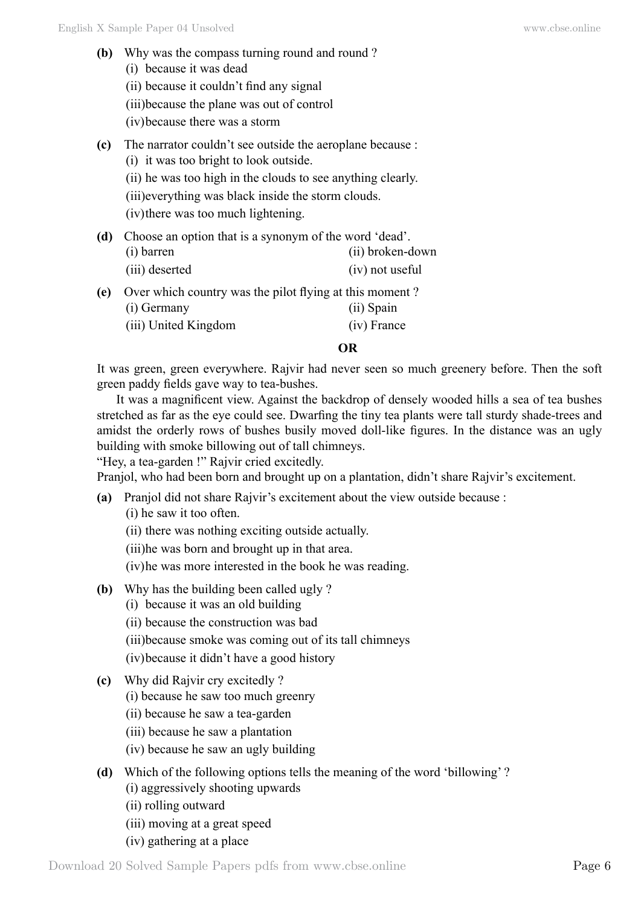- **(b)** Why was the compass turning round and round? (i) because it was dead
	- (ii) because it couldn't find any signal
	- (iii)because the plane was out of control
	- (iv)because there was a storm
- **(c)** The narrator couldn't see outside the aeroplane because :
	- (i) it was too bright to look outside.
	- (ii) he was too high in the clouds to see anything clearly.
	- (iii)everything was black inside the storm clouds.
	- (iv)there was too much lightening.
- **(d)** Choose an option that is a synonym of the word 'dead'. (i) barren (ii) broken-down
	- (iii) deserted (iv) not useful
- **(e)** Over which country was the pilot flying at this moment ?
	- (i) Germany (ii) Spain
	- (iii) United Kingdom (iv) France

## **O**

It was green, green everywhere. Rajvir had never seen so much greenery before. Then the soft green paddy fields gave way to tea-bushes.

It was a magnificent view. Against the backdrop of densely wooded hills a sea of tea bushes stretched as far as the eye could see. Dwarfing the tiny tea plants were tall sturdy shade-trees and amidst the orderly rows of bushes busily moved doll-like figures. In the distance was an ugly building with smoke billowing out of tall chimneys.

"Hey, a tea-garden !" Rajvir cried excitedly.

Pranjol, who had been born and brought up on a plantation, didn't share Rajvir's excitement.

- **(a)** Pranjol did not share Rajvir's excitement about the view outside because :
	- (i) he saw it too often.
	- (ii) there was nothing exciting outside actually.
	- (iii)he was born and brought up in that area.
	- (iv)he was more interested in the book he was reading.
- **(b)** Why has the building been called ugly ?
	- (i) because it was an old building
	- (ii) because the construction was bad
	- (iii)because smoke was coming out of its tall chimneys
	- (iv)because it didn't have a good history
- **(c)** Why did Rajvir cry excitedly ?
	- (i) because he saw too much greenry
	- (ii) because he saw a tea-garden
	- (iii) because he saw a plantation
	- (iv) because he saw an ugly building

# **(d)** Which of the following options tells the meaning of the word 'billowing' ?

- (i) aggressively shooting upwards
- (ii) rolling outward
- (iii) moving at a great speed
- (iv) gathering at a place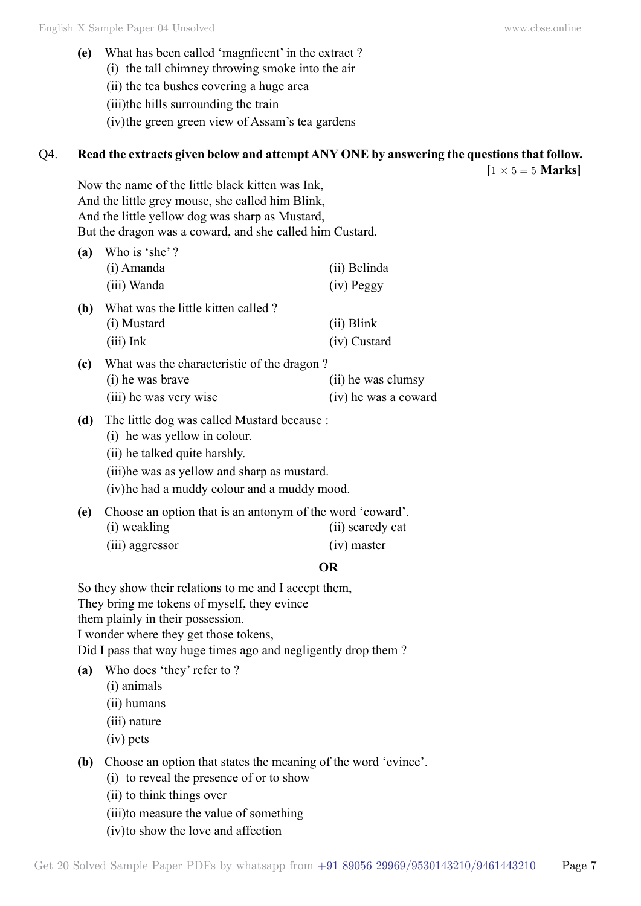- **(e)** What has been called 'magnficent' in the extract ?
	- (i) the tall chimney throwing smoke into the air
	- (ii) the tea bushes covering a huge area

(iii)the hills surrounding the train

(iv)the green green view of Assam's tea gardens

### Q4. **Read the extracts given below and attempt ANY ONE by answering the questions that follow.**

 $[1 \times 5 = 5$  **Marks** 

Now the name of the little black kitten was Ink, And the little grey mouse, she called him Blink, And the little yellow dog was sharp as Mustard, But the dragon was a coward, and she called him Custard.

| (a) | Who is 'she'?                              |                      |  |  |
|-----|--------------------------------------------|----------------------|--|--|
|     | (i) Amanda                                 | (ii) Belinda         |  |  |
|     | (iii) Wanda                                | (iv) Peggy           |  |  |
| (b) | What was the little kitten called?         |                      |  |  |
|     | (i) Mustard                                | $(ii)$ Blink         |  |  |
|     | $(iii)$ Ink                                | (iv) Custard         |  |  |
| (c) | What was the characteristic of the dragon? |                      |  |  |
|     | (i) he was brave                           | (ii) he was clumsy   |  |  |
|     | (iii) he was very wise                     | (iv) he was a coward |  |  |

- **(d)** The little dog was called Mustard because :
	- (i) he was yellow in colour.
	- (ii) he talked quite harshly.
	- (iii)he was as yellow and sharp as mustard.

(iv)he had a muddy colour and a muddy mood.

- **(e)** Choose an option that is an antonym of the word 'coward'.
	- (i) weakling (ii) scaredy cat
	- (iii) aggressor (iv) master

### **O**

So they show their relations to me and I accept them, They bring me tokens of myself, they evince them plainly in their possession. I wonder where they get those tokens, Did I pass that way huge times ago and negligently drop them ?

- **(a)** Who does 'they' refer to ?
	- (i) animals
	- (ii) humans
	- (iii) nature
	- (iv) pets
- **(b)** Choose an option that states the meaning of the word 'evince'.
	- (i) to reveal the presence of or to show
	- (ii) to think things over
	- (iii)to measure the value of something
	- (iv)to show the love and affection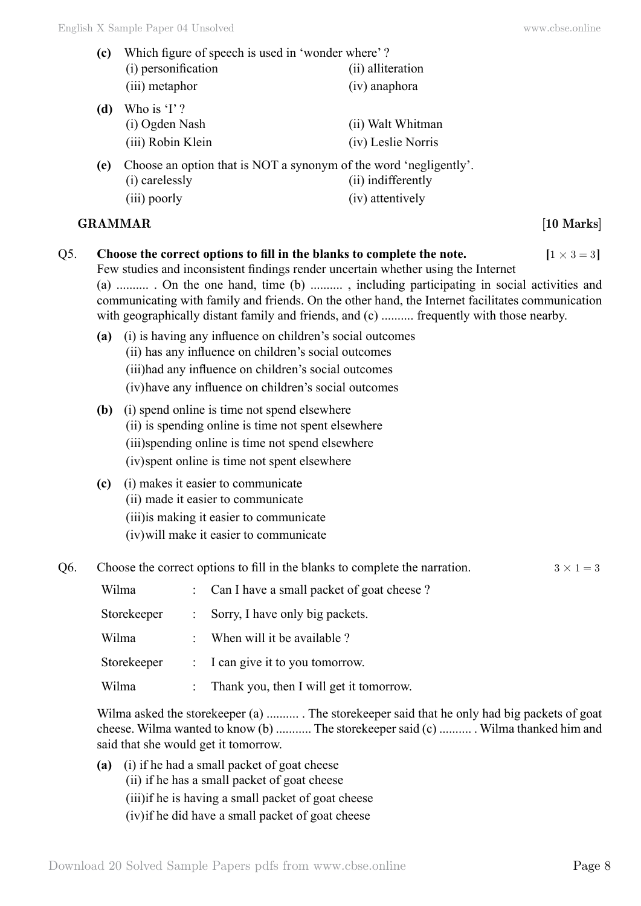- **(c)** Which figure of speech is used in 'wonder where' ? (i) personification (ii) alliteration (iii) metaphor (iv) anaphora **(d)** Who is 'I' ? (i) Ogden Nash (ii) Walt Whitman (iii) Robin Klein (iv) Leslie Norris **(e)** Choose an option that is NOT a synonym of the word 'negligently'. (i) carelessly (ii) indifferently (iii) poorly (iv) attentively **GRAMMAR [10 Marks]** Choose the correct options to fill in the blanks to complete the note.  $[1 \times 3 = 3]$ Few studies and inconsistent findings render uncertain whether using the Internet (a) .......... . On the one hand, time (b) .......... , including participating in social activities and communicating with family and friends. On the other hand, the Internet facilitates communication with geographically distant family and friends, and (c) .......... frequently with those nearby. **(a)** (i) is having any influence on children's social outcomes (ii) has any influence on children's social outcomes (iii)had any influence on children's social outcomes (iv)have any influence on children's social outcomes **(b)** (i) spend online is time not spend elsewhere
	- (ii) is spending online is time not spent elsewhere (iii)spending online is time not spend elsewhere (iv)spent online is time not spent elsewhere
	- **(c)** (i) makes it easier to communicate (ii) made it easier to communicate (iii)is making it easier to communicate (iv)will make it easier to communicate
- Q6. Choose the correct options to fill in the blanks to complete the narration.  $3 \times 1 = 3$

| Wilma       | : Can I have a small packet of goat cheese? |
|-------------|---------------------------------------------|
| Storekeeper | Sorry, I have only big packets.             |
| Wilma       | : When will it be available ?               |
| Storekeeper | : I can give it to you tomorrow.            |
| Wilma       | Thank you, then I will get it tomorrow.     |

Wilma asked the storekeeper (a) .......... . The storekeeper said that he only had big packets of goat cheese. Wilma wanted to know (b) ........... The storekeeper said (c) .......... . Wilma thanked him and said that she would get it tomorrow.

**(a)** (i) if he had a small packet of goat cheese (ii) if he has a small packet of goat cheese (iii)if he is having a small packet of goat cheese (iv)if he did have a small packet of goat cheese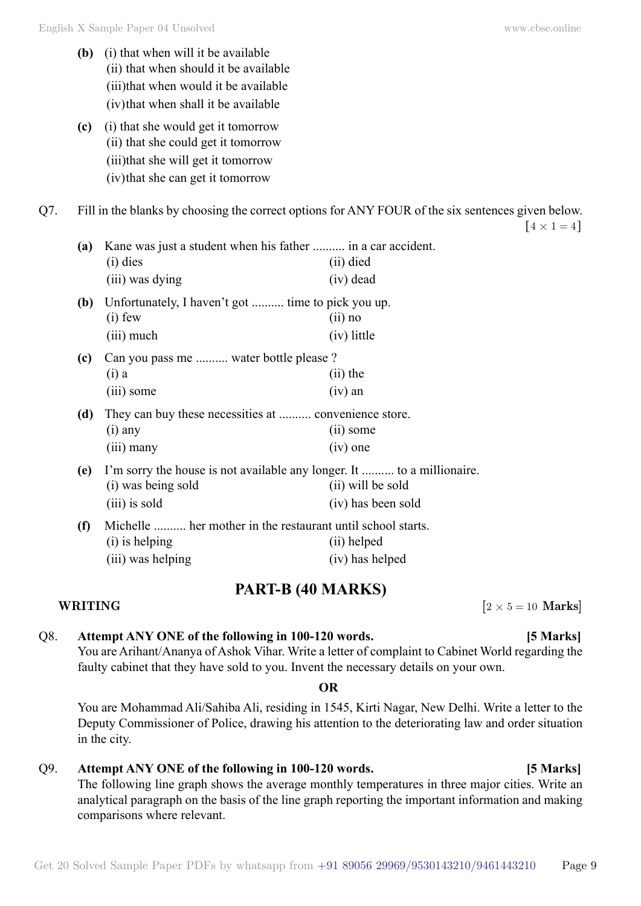**(c)** (i) that she would get it tomorrow (ii) that she could get it tomorrow (iii)that she will get it tomorrow (iv)that she can get it tomorrow

Q7. Fill in the blanks by choosing the correct options for ANY FOUR of the six sentences given below.

| (a) | Kane was just a student when his father  in a car accident.            |                    |  |
|-----|------------------------------------------------------------------------|--------------------|--|
|     | $(i)$ dies                                                             | (ii) died          |  |
|     | (iii) was dying                                                        | $(iv)$ dead        |  |
| (b) | Unfortunately, I haven't got  time to pick you up.                     |                    |  |
|     | $(i)$ few                                                              | $(ii)$ no          |  |
|     | (iii) much                                                             | (iv) little        |  |
| (c) | Can you pass me  water bottle please?                                  |                    |  |
|     | $(i)$ a                                                                | $(ii)$ the         |  |
|     | (iii) some                                                             | $(iv)$ an          |  |
| (d) | They can buy these necessities at  convenience store.                  |                    |  |
|     | $(i)$ any                                                              | (ii) some          |  |
|     | $(iii)$ many                                                           | $(iv)$ one         |  |
| (e) | I'm sorry the house is not available any longer. It  to a millionaire. |                    |  |
|     | (i) was being sold                                                     | (ii) will be sold  |  |
|     | $(iii)$ is sold                                                        | (iv) has been sold |  |
| (f) | Michelle  her mother in the restaurant until school starts.            |                    |  |
|     | (i) is helping                                                         | (ii) helped        |  |
|     | (iii) was helping                                                      | (iv) has helped    |  |

# **PART-B (40 Marks)**

### **WRITING**  $[2 \times 5 = 10 \text{ Marks}]$

## Q8. **Attempt ANY ONE of the following in 100-120 words. [5 Marks]** You are Arihant/Ananya of Ashok Vihar. Write a letter of complaint to Cabinet World regarding the faulty cabinet that they have sold to you. Invent the necessary details on your own.

 **O**

You are Mohammad Ali/Sahiba Ali, residing in 1545, Kirti Nagar, New Delhi. Write a letter to the Deputy Commissioner of Police, drawing his attention to the deteriorating law and order situation in the city.

### Q9. **Attempt ANY ONE of the following in 100-120 words. [5 Marks]** The following line graph shows the average monthly temperatures in three major cities. Write an analytical paragraph on the basis of the line graph reporting the important information and making comparisons where relevant.

Get 20 Solved Sample Paper PDFs by whatsapp from  $+91\,89056\,29969/9530143210/9461443210$  Page 9

 $\lceil 4 \times 1 = 4 \rceil$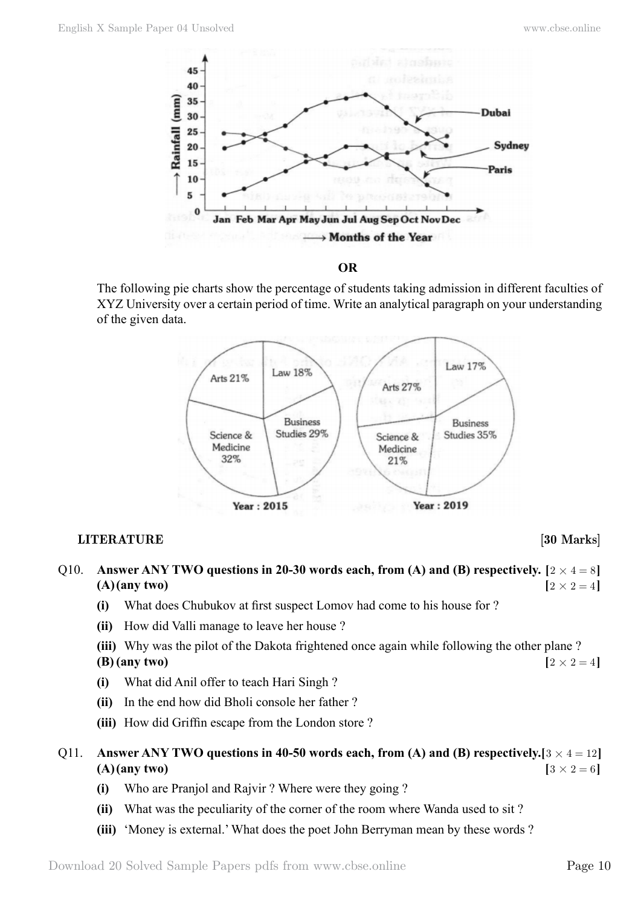

 **O**

The following pie charts show the percentage of students taking admission in different faculties of XYZ University over a certain period of time. Write an analytical paragraph on your understanding of the given data.



# **LITERATURE** [30 Marks]

- Q10. **Answer ANY TWO questions in 20-30 words each, from (A) and (B) respectively.**  $[2 \times 4 = 8]$ **(A)(any two)**  $[2 \times 2 = 4]$ 
	- **(i)** What does Chubukov at first suspect Lomov had come to his house for ?
	- **(ii)** How did Valli manage to leave her house ?
	- **(iii)** Why was the pilot of the Dakota frightened once again while following the other plane ? **(B)** (any two)  $[2 \times 2 = 4]$
	- **(i)** What did Anil offer to teach Hari Singh ?
	- **(ii)** In the end how did Bholi console her father ?
	- **(iii)** How did Griffin escape from the London store ?
- Q11. **Answer ANY TWO questions in 40-50 words each, from (A) and (B) respectively.**  $[3 \times 4 = 12]$ **(A)(any two)**  $[3 \times 2 = 6]$ 
	- **(i)** Who are Pranjol and Rajvir ? Where were they going ?
	- **(ii)** What was the peculiarity of the corner of the room where Wanda used to sit ?
	- **(iii)** 'Money is external.' What does the poet John Berryman mean by these words ?